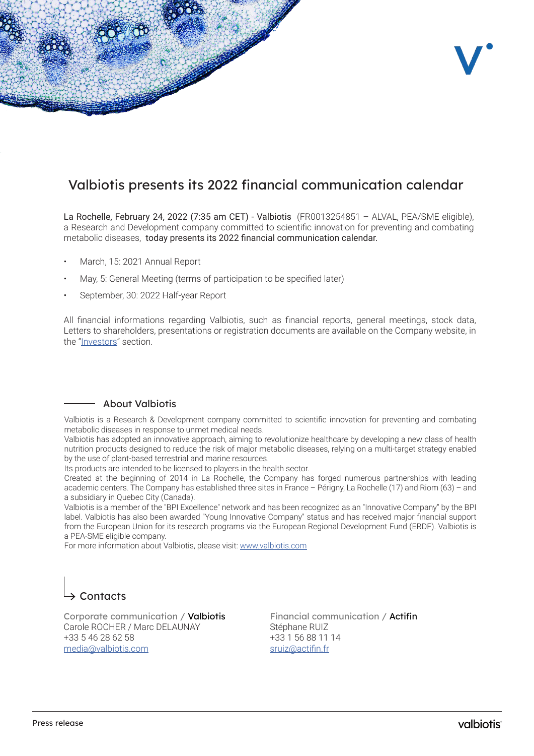

## Valbiotis presents its 2022 financial communication calendar

La Rochelle, February 24, 2022 (7:35 am CET) - Valbiotis (FR0013254851 – ALVAL, PEA/SME eligible), a Research and Development company committed to scientific innovation for preventing and combating metabolic diseases, today presents its 2022 financial communication calendar.

- March, 15: 2021 Annual Report
- May, 5: General Meeting (terms of participation to be specified later)
- September, 30: 2022 Half-year Report

All financial informations regarding Valbiotis, such as financial reports, general meetings, stock data, Letters to shareholders, presentations or registration documents are available on the Company website, in the ["Investors"](https://www.valbiotis.com/en/investors/) section.

## About Valbiotis

Valbiotis is a Research & Development company committed to scientific innovation for preventing and combating metabolic diseases in response to unmet medical needs.

Valbiotis has adopted an innovative approach, aiming to revolutionize healthcare by developing a new class of health nutrition products designed to reduce the risk of major metabolic diseases, relying on a multi-target strategy enabled by the use of plant-based terrestrial and marine resources.

Its products are intended to be licensed to players in the health sector.

Created at the beginning of 2014 in La Rochelle, the Company has forged numerous partnerships with leading academic centers. The Company has established three sites in France – Périgny, La Rochelle (17) and Riom (63) – and a subsidiary in Quebec City (Canada).

Valbiotis is a member of the "BPI Excellence" network and has been recognized as an "Innovative Company" by the BPI label. Valbiotis has also been awarded "Young Innovative Company" status and has received major financial support from the European Union for its research programs via the European Regional Development Fund (ERDF). Valbiotis is a PEA-SME eligible company.

For more information about Valbiotis, please visit: [www.valbiotis.com](http://www.valbiotis.com)

## $\rightarrow$  Contacts

Corporate communication / Valbiotis Carole ROCHER / Marc DELAUNAY +33 5 46 28 62 58 media@valbiotis.com

Financial communication / Actifin Stéphane RUIZ +33 1 56 88 11 14 sruiz@actifin.fr